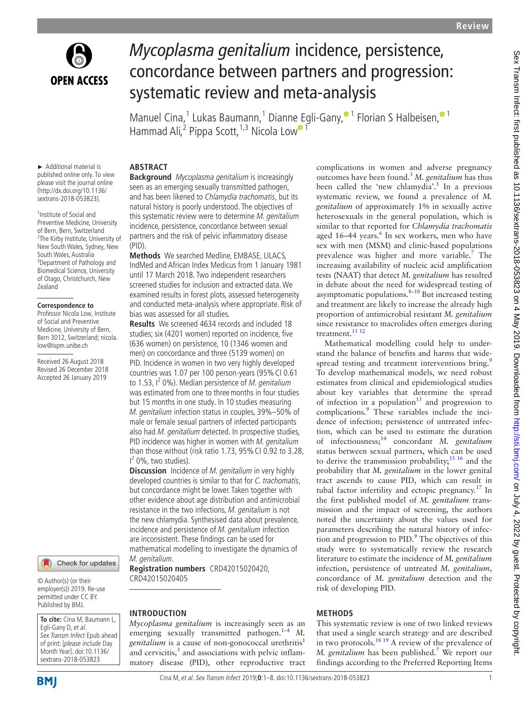

# *Mycoplasma genitalium* incidence, persistence, concordance between partners and progression: systematic review and meta-analysis

Manuel Cina,<sup>1</sup> Lukas Baumann,<sup>1</sup> Dianne [E](http://orcid.org/0000-0003-4817-8986)gli-Gany[,](https://orcid.org/0000-0003-2755-9501)<sup>® 1</sup> Florian S Halbeisen,<sup>® 1</sup> Hammad Ali,<sup>2</sup> Pippa Scott,<sup>1,3</sup> Nicola Low<sup>o 1</sup>

► Additional material is published online only. To view please visit the journal online [\(http://dx.doi.org/10.1136/](http://dx.doi.org/10.1136/sextrans-2018-053823) [sextrans-2018-053823\)](http://dx.doi.org/10.1136/sextrans-2018-053823).

<sup>1</sup> Institute of Social and Preventive Medicine, University of Bern, Bern, Switzerland <sup>2</sup>The Kirby Institute, University of New South Wales, Sydney, New South Wales, Australia <sup>3</sup>Department of Pathology and Biomedical Science, University of Otago, Christchurch, New **Zealand** 

#### **Correspondence to**

Professor Nicola Low, Institute of Social and Preventive Medicine, University of Bern, Bern 3012, Switzerland; nicola. low@ispm.unibe.ch

Received 26 August 2018 Revised 26 December 2018 Accepted 26 January 2019



© Author(s) (or their employer(s)) 2019. Re-use permitted under CC BY. Published by BMJ.

**To cite:** Cina M, Baumann L, Egli-Gany D, et al. Sex Transm Infect Epub ahead of print: [please include Day Month Year]. doi:10.1136/ sextrans-2018-053823

### **Abstract**

**Background** Mycoplasma genitalium is increasingly seen as an emerging sexually transmitted pathogen, and has been likened to Chlamydia trachomatis, but its natural history is poorly understood. The objectives of this systematic review were to determine M. genitalium incidence, persistence, concordance between sexual partners and the risk of pelvic inflammatory disease (PID).

**Methods** We searched Medline, EMBASE, LILACS, IndMed and African Index Medicus from 1 January 1981 until 17 March 2018. Two independent researchers screened studies for inclusion and extracted data. We examined results in forest plots, assessed heterogeneity and conducted meta-analysis where appropriate. Risk of bias was assessed for all studies.

**Results** We screened 4634 records and included 18 studies; six (4201 women) reported on incidence, five (636 women) on persistence, 10 (1346 women and men) on concordance and three (5139 women) on PID. Incidence in women in two very highly developed countries was 1.07 per 100 person-years (95% CI 0.61 to 1.53, I<sup>2</sup> 0%). Median persistence of *M. genitalium* was estimated from one to threemonths in four studies but 15 months in one study. In 10 studies measuring M. genitalium infection status in couples, 39%–50% of male or female sexual partners of infected participants also had M. genitalium detected. In prospective studies, PID incidence was higher in women with M. genitalium than those without (risk ratio 1.73, 95%CI 0.92 to 3.28,  $1<sup>2</sup>$  0%, two studies).

**Discussion** Incidence of *M. genitalium* in very highly developed countries is similar to that for C. trachomatis. but concordance might be lower. Taken together with other evidence about age distribution and antimicrobial resistance in the two infections, M. genitalium is not the new chlamydia. Synthesised data about prevalence, incidence and persistence of M. genitalium infection are inconsistent. These findings can be used for mathematical modelling to investigate the dynamics of M. genitalium.

**Registration numbers** [CRD42015020420,](CRD42015020420,%20CRD42015020405)  [CRD42015020405](CRD42015020420,%20CRD42015020405)

#### **Introduction**

*Mycoplasma genitalium* is increasingly seen as an emerging sexually transmitted pathogen.<sup>[1–4](#page-6-0)</sup> *M*. *genitalium* is a cause of non-gonococcal urethritis<sup>[1](#page-6-0)</sup> and cervicitis, $3$  and associations with pelvic inflammatory disease (PID), other reproductive tract complications in women and adverse pregnancy outcomes have been found.[3](#page-6-1) *M. genitalium* has thus been called the 'new chlamydia'.<sup>5</sup> In a previous systematic review, we found a prevalence of *M. genitalium* of approximately 1% in sexually active heterosexuals in the general population, which is similar to that reported for *Chlamydia trachomatis* aged 1[6](#page-6-3)-44 years.<sup>6</sup> In sex workers, men who have sex with men (MSM) and clinic-based populations prevalence was higher and more variable.<sup>7</sup> The increasing availability of nucleic acid amplification tests (NAAT) that detect *M. genitalium* has resulted in debate about the need for widespread testing of asymptomatic populations.[8–10](#page-6-5) But increased testing and treatment are likely to increase the already high proportion of antimicrobial resistant *M. genitalium* since resistance to macrolides often emerges during treatment.<sup>[11 12](#page-6-6)</sup>

Mathematical modelling could help to understand the balance of benefits and harms that wide-spread testing and treatment interventions bring.<sup>[9](#page-6-7)</sup> To develop mathematical models, we need robust estimates from clinical and epidemiological studies about key variables that determine the spread of infection in a population<sup>[13](#page-6-8)</sup> and progression to complications.<sup>[9](#page-6-7)</sup> These variables include the incidence of infection; persistence of untreated infection, which can be used to estimate the duration of infectiousness;[14](#page-6-9) concordant *M. genitalium* status between sexual partners, which can be used to derive the transmission probability;<sup>15 16</sup> and the probability that *M. genitalium* in the lower genital tract ascends to cause PID, which can result in tubal factor infertility and ectopic pregnancy.<sup>17</sup> In the first published model of *M. genitalium* transmission and the impact of screening, the authors noted the uncertainty about the values used for parameters describing the natural history of infection and progression to  $PID.^9$  $PID.^9$ . The objectives of this study were to systematically review the research literature to estimate the incidence of *M. genitalium* infection, persistence of untreated *M. genitalium*, concordance of *M. genitalium* detection and the risk of developing PID.

#### **Methods**

This systematic review is one of two linked reviews that used a single search strategy and are described in two protocols.[18 19](#page-6-12) A review of the prevalence of *M. genitalium* has been published[.7](#page-6-4) We report our findings according to the Preferred Reporting Items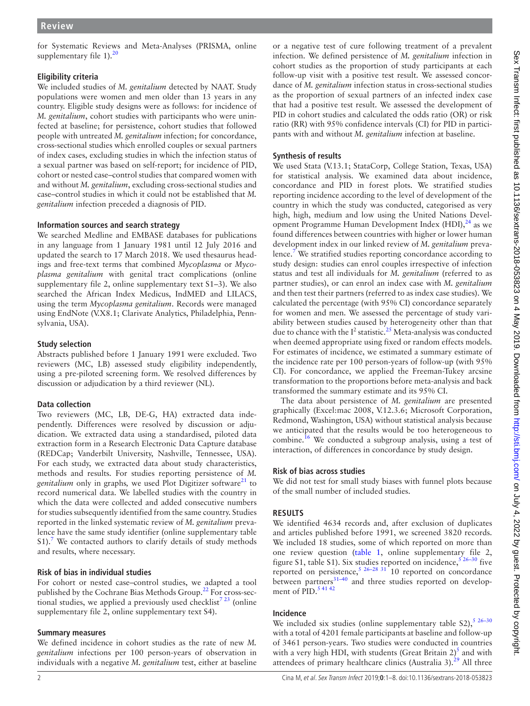for Systematic Reviews and Meta-Analyses (PRISMA, [online](https://dx.doi.org/10.1136/sextrans-2018-053823)  supplementary file  $1$ ).<sup>20</sup>

# **Eligibility criteria**

We included studies of *M. genitalium* detected by NAAT. Study populations were women and men older than 13 years in any country. Eligible study designs were as follows: for incidence of *M. genitalium*, cohort studies with participants who were uninfected at baseline; for persistence, cohort studies that followed people with untreated *M. genitalium* infection; for concordance, cross-sectional studies which enrolled couples or sexual partners of index cases, excluding studies in which the infection status of a sexual partner was based on self-report; for incidence of PID, cohort or nested case–control studies that compared women with and without *M. genitalium*, excluding cross-sectional studies and case–control studies in which it could not be established that *M. genitalium* infection preceded a diagnosis of PID.

# **Information sources and search strategy**

We searched Medline and EMBASE databases for publications in any language from 1 January 1981 until 12 July 2016 and updated the search to 17 March 2018. We used thesaurus headings and free-text terms that combined *Mycoplasma* or *Mycoplasma genitalium* with genital tract complications [\(online](https://dx.doi.org/10.1136/sextrans-2018-053823)  [supplementary file 2,](https://dx.doi.org/10.1136/sextrans-2018-053823) [online supplementary text S1–3](https://dx.doi.org/10.1136/sextrans-2018-053823)). We also searched the African Index Medicus, IndMED and LILACS, using the term *Mycoplasma genitalium*. Records were managed using EndNote (V.X8.1; Clarivate Analytics, Philadelphia, Pennsylvania, USA).

### **Study selection**

Abstracts published before 1 January 1991 were excluded. Two reviewers (MC, LB) assessed study eligibility independently, using a pre-piloted screening form. We resolved differences by discussion or adjudication by a third reviewer (NL).

# **Data collection**

Two reviewers (MC, LB, DE-G, HA) extracted data independently. Differences were resolved by discussion or adjudication. We extracted data using a standardised, piloted data extraction form in a Research Electronic Data Capture database (REDCap; Vanderbilt University, Nashville, Tennessee, USA). For each study, we extracted data about study characteristics, methods and results. For studies reporting persistence of *M. genitalium* only in graphs, we used Plot Digitizer software<sup>[21](#page-6-14)</sup> to record numerical data. We labelled studies with the country in which the data were collected and added consecutive numbers for studies subsequently identified from the same country. Studies reported in the linked systematic review of *M. genitalium* prevalence have the same study identifier [\(online supplementary table](https://dx.doi.org/10.1136/sextrans-2018-053823)   $S1$ ).<sup>7</sup> We contacted authors to clarify details of study methods and results, where necessary.

# **Risk of bias in individual studies**

For cohort or nested case–control studies, we adapted a tool published by the Cochrane Bias Methods Group.<sup>22</sup> For cross-sectional studies, we applied a previously used checklist<sup>7 23</sup> (online [supplementary file 2,](https://dx.doi.org/10.1136/sextrans-2018-053823) [online supplementary text S4\)](https://dx.doi.org/10.1136/sextrans-2018-053823).

# **Summary measures**

We defined incidence in cohort studies as the rate of new *M. genitalium* infections per 100 person-years of observation in individuals with a negative *M. genitalium* test, either at baseline

or a negative test of cure following treatment of a prevalent infection. We defined persistence of *M. genitalium* infection in cohort studies as the proportion of study participants at each follow-up visit with a positive test result. We assessed concordance of *M. genitalium* infection status in cross-sectional studies as the proportion of sexual partners of an infected index case that had a positive test result. We assessed the development of PID in cohort studies and calculated the odds ratio (OR) or risk ratio (RR) with 95% confidence intervals (CI) for PID in participants with and without *M. genitalium* infection at baseline.

# **Synthesis of results**

We used Stata (V.13.1; StataCorp, College Station, Texas, USA) for statistical analysis. We examined data about incidence, concordance and PID in forest plots. We stratified studies reporting incidence according to the level of development of the country in which the study was conducted, categorised as very high, high, medium and low using the United Nations Development Programme Human Development Index  $(HDI)$ ,<sup>24</sup> as we found differences between countries with higher or lower human development index in our linked review of *M. genitalium* prevalence.<sup>7</sup> We stratified studies reporting concordance according to study design: studies can enrol couples irrespective of infection status and test all individuals for *M. genitalium* (referred to as partner studies), or can enrol an index case with *M. genitalium* and then test their partners (referred to as index case studies). We calculated the percentage (with 95% CI) concordance separately for women and men. We assessed the percentage of study variability between studies caused by heterogeneity other than that due to chance with the  $I^2$  statistic.<sup>[25](#page-6-17)</sup> Meta-analysis was conducted when deemed appropriate using fixed or random effects models. For estimates of incidence, we estimated a summary estimate of the incidence rate per 100 person-years of follow-up (with 95% CI). For concordance, we applied the Freeman-Tukey arcsine transformation to the proportions before meta-analysis and back transformed the summary estimate and its 95% CI.

The data about persistence of *M. genitalium* are presented graphically (Excel:mac 2008, V.12.3.6; Microsoft Corporation, Redmond, Washington, USA) without statistical analysis because we anticipated that the results would be too heterogeneous to combine.[16](#page-6-18) We conducted a subgroup analysis, using a test of interaction, of differences in concordance by study design.

# **Risk of bias across studies**

We did not test for small study biases with funnel plots because of the small number of included studies.

# **Results**

We identified 4634 records and, after exclusion of duplicates and articles published before 1991, we screened 3820 records. We included 18 studies, some of which reported on more than one review question ([table](#page-2-0) 1, [online supplementary file 2,](https://dx.doi.org/10.1136/sextrans-2018-053823) [figure S1, table S1\)](https://dx.doi.org/10.1136/sextrans-2018-053823). Six studies reported on incidence,  $526-30$  five reported on persistence, $5^{26-28}$   $31^{1}$  10 reported on concordance between partners<sup>31-40</sup> and three studies reported on development of  $\tilde{PID}$ .<sup>[5 41 42](#page-6-2)</sup>

# **Incidence**

We included six studies (online supplementary table  $S2$ ),  $5^{26-30}$ with a total of 4201 female participants at baseline and follow-up of 3461 person-years. Two studies were conducted in countries with a very high HDI, with students (Great Britain  $2^5$ ) and with attendees of primary healthcare clinics (Australia 3). $^{29}$  All three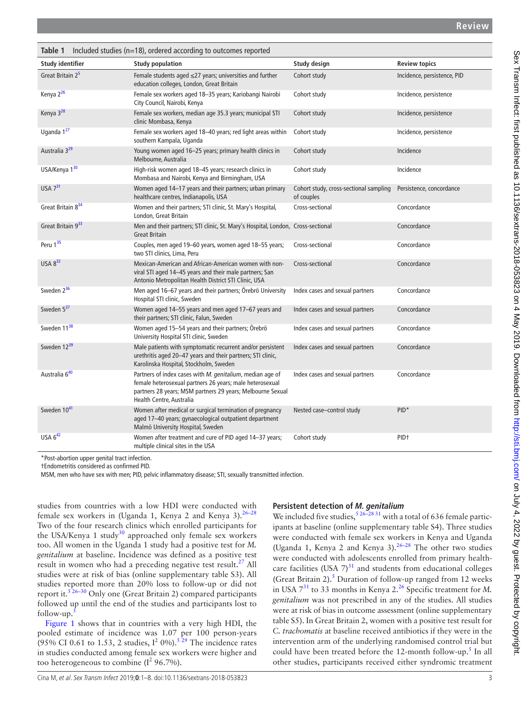<span id="page-2-0"></span>

| Included studies (n=18), ordered according to outcomes reported<br>Table 1 |                                                                                                                                                                                                                 |                                                      |                             |  |  |  |
|----------------------------------------------------------------------------|-----------------------------------------------------------------------------------------------------------------------------------------------------------------------------------------------------------------|------------------------------------------------------|-----------------------------|--|--|--|
| <b>Study identifier</b>                                                    | <b>Study population</b>                                                                                                                                                                                         | Study design                                         | <b>Review topics</b>        |  |  |  |
| Great Britain 2 <sup>5</sup>                                               | Female students aged $\leq$ 27 years; universities and further<br>education colleges, London, Great Britain                                                                                                     | Cohort study                                         | Incidence, persistence, PID |  |  |  |
| Kenya 2 <sup>26</sup>                                                      | Female sex workers aged 18-35 years; Kariobangi Nairobi<br>City Council, Nairobi, Kenya                                                                                                                         | Cohort study                                         | Incidence, persistence      |  |  |  |
| Kenya 3 <sup>28</sup>                                                      | Female sex workers, median age 35.3 years; municipal STI<br>clinic Mombasa, Kenya                                                                                                                               | Cohort study                                         | Incidence, persistence      |  |  |  |
| Uganda 1 <sup>27</sup>                                                     | Female sex workers aged 18-40 years; red light areas within<br>southern Kampala, Uganda                                                                                                                         | Cohort study                                         | Incidence, persistence      |  |  |  |
| Australia 3 <sup>29</sup>                                                  | Young women aged 16-25 years; primary health clinics in<br>Melbourne, Australia                                                                                                                                 | Cohort study                                         | Incidence                   |  |  |  |
| USA/Kenya 130                                                              | High-risk women aged 18-45 years; research clinics in<br>Mombasa and Nairobi, Kenya and Birmingham, USA                                                                                                         | Cohort study                                         | Incidence                   |  |  |  |
| USA 731                                                                    | Women aged 14-17 years and their partners; urban primary<br>healthcare centres, Indianapolis, USA                                                                                                               | Cohort study, cross-sectional sampling<br>of couples | Persistence, concordance    |  |  |  |
| Great Britain 834                                                          | Women and their partners; STI clinic, St. Mary's Hospital,<br>London, Great Britain                                                                                                                             | Cross-sectional                                      | Concordance                 |  |  |  |
| Great Britain 933                                                          | Men and their partners; STI clinic, St. Mary's Hospital, London, Cross-sectional<br><b>Great Britain</b>                                                                                                        |                                                      | Concordance                 |  |  |  |
| Peru 1 <sup>35</sup>                                                       | Couples, men aged 19-60 years, women aged 18-55 years;<br>two STI clinics, Lima, Peru                                                                                                                           | Cross-sectional                                      | Concordance                 |  |  |  |
| USA 832                                                                    | Mexican-American and African-American women with non-<br>viral STI aged 14-45 years and their male partners; San<br>Antonio Metropolitan Health District STI Clinic, USA                                        | Cross-sectional                                      | Concordance                 |  |  |  |
| Sweden $2^{36}$                                                            | Men aged 16-67 years and their partners; Örebrö University<br>Hospital STI clinic, Sweden                                                                                                                       | Index cases and sexual partners                      | Concordance                 |  |  |  |
| Sweden 5 <sup>37</sup>                                                     | Women aged 14-55 years and men aged 17-67 years and<br>their partners; STI clinic, Falun, Sweden                                                                                                                | Index cases and sexual partners                      | Concordance                 |  |  |  |
| Sweden 11 <sup>38</sup>                                                    | Women aged 15-54 years and their partners; Örebrö<br>University Hospital STI clinic, Sweden                                                                                                                     | Index cases and sexual partners                      | Concordance                 |  |  |  |
| Sweden 12 <sup>39</sup>                                                    | Male patients with symptomatic recurrent and/or persistent<br>urethritis aged 20-47 years and their partners; STI clinic,<br>Karolinska Hospital, Stockholm, Sweden                                             | Index cases and sexual partners                      | Concordance                 |  |  |  |
| Australia 640                                                              | Partners of index cases with M. genitalium, median age of<br>female heterosexual partners 26 years; male heterosexual<br>partners 28 years; MSM partners 29 years; Melbourne Sexual<br>Health Centre, Australia | Index cases and sexual partners                      | Concordance                 |  |  |  |
| Sweden 10 <sup>41</sup>                                                    | Women after medical or surgical termination of pregnancy<br>aged 17-40 years; gynaecological outpatient department<br>Malmö University Hospital, Sweden                                                         | Nested case-control study                            | $PID*$                      |  |  |  |
| USA $6^{42}$                                                               | Women after treatment and cure of PID aged 14-37 years;<br>multiple clinical sites in the USA                                                                                                                   | Cohort study                                         | PID <sup>+</sup>            |  |  |  |

\*Post-abortion upper genital tract infection.

†Endometritis considered as confirmed PID.

MSM, men who have sex with men; PID, pelvic inflammatory disease; STI, sexually transmitted infection.

studies from countries with a low HDI were conducted with female sex workers in (Uganda 1, Kenya 2 and Kenya 3).  $26-28$ Two of the four research clinics which enrolled participants for the USA/Kenya 1 study<sup>[30](#page-6-24)</sup> approached only female sex workers too. All women in the Uganda 1 study had a positive test for *M. genitalium* at baseline. Incidence was defined as a positive test result in women who had a preceding negative test result.<sup>27</sup> All studies were at risk of bias [\(online supplementary table S3](https://dx.doi.org/10.1136/sextrans-2018-053823)). All studies reported more than 20% loss to follow-up or did not report it.<sup>526–30</sup> Only one (Great Britain 2) compared participants followed up until the end of the studies and participants lost to  $follow-up.$ 

[Figure](#page-3-0) 1 shows that in countries with a very high HDI, the pooled estimate of incidence was 1.07 per 100 person-years (95% CI 0.61 to 1.53, 2 studies,  $I^2$  0%).<sup>529</sup> The incidence rates in studies conducted among female sex workers were higher and too heterogeneous to combine  $(I^2 96.7\%)$ .

#### **Persistent detection of M. genitalium**

We included five studies,  $526-2831$  with a total of 636 female participants at baseline ([online supplementary table S4\)](https://dx.doi.org/10.1136/sextrans-2018-053823). Three studies were conducted with female sex workers in Kenya and Uganda (Uganda 1, Kenya 2 and Kenya 3).  $2^{6-28}$  The other two studies were conducted with adolescents enrolled from primary healthcare facilities (USA  $7^{31}$  and students from educational colleges (Great Britain 2).<sup>5</sup> Duration of follow-up ranged from 12 weeks in USA  $7^{31}$  to 33 months in Kenya 2.<sup>26</sup> Specific treatment for *M*. *genitalium* was not prescribed in any of the studies. All studies were at risk of bias in outcome assessment [\(online supplementary](https://dx.doi.org/10.1136/sextrans-2018-053823) [table S5\)](https://dx.doi.org/10.1136/sextrans-2018-053823). In Great Britain 2, women with a positive test result for *C. trachomatis* at baseline received antibiotics if they were in the intervention arm of the underlying randomised control trial but could have been treated before the 12-month follow-up.<sup>[5](#page-6-2)</sup> In all other studies, participants received either syndromic treatment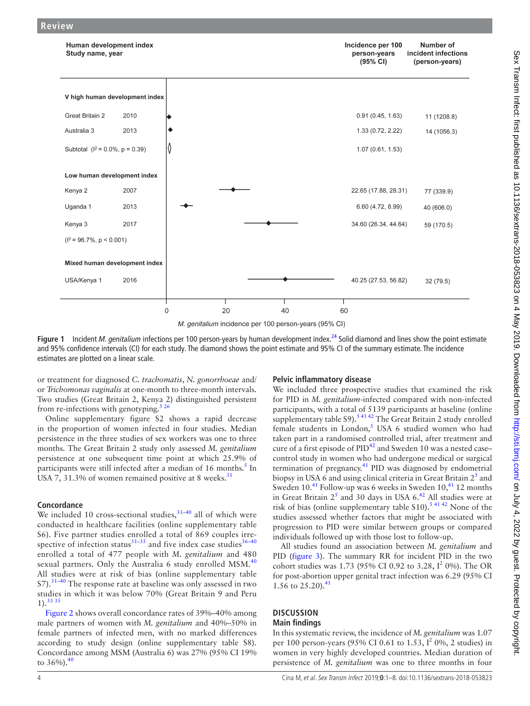

M. genitalium incidence per 100 person-years (95% CI)

<span id="page-3-0"></span>Figure 1 Incident *M. genitalium* infections per 100 person-years by human development index.<sup>[24](#page-6-16)</sup> Solid diamond and lines show the point estimate and 95% confidence intervals (CI) for each study. The diamond shows the point estimate and 95% CI of the summary estimate. The incidence estimates are plotted on a linear scale.

or treatment for diagnosed *C. trachomatis*, *N. gonorrhoeae* and/ or *Trichomonas vaginalis* at one-month to three-month intervals. Two studies (Great Britain 2, Kenya 2) distinguished persistent from re-infections with genotyping.<sup>526</sup>

[Online supplementary figure S2](https://dx.doi.org/10.1136/sextrans-2018-053823) shows a rapid decrease in the proportion of women infected in four studies. Median persistence in the three studies of sex workers was one to three months. The Great Britain 2 study only assessed *M. genitalium* persistence at one subsequent time point at which 25.9% of participants were still infected after a median of 16 months.<sup>[5](#page-6-2)</sup> In USA 7, [31](#page-6-19).3% of women remained positive at 8 weeks. $31$ 

#### **Concordance**

**Review**

We included 10 cross-sectional studies, $31-40$  all of which were conducted in healthcare facilities [\(online supplementary table](https://dx.doi.org/10.1136/sextrans-2018-053823)  [S6\)](https://dx.doi.org/10.1136/sextrans-2018-053823). Five partner studies enrolled a total of 869 couples irrespective of infection status $31-35$  and five index case studies $36-40$ enrolled a total of 477 people with *M. genitalium* and 480 sexual partners. Only the Australia 6 study enrolled  $MSM<sup>40</sup>$  $MSM<sup>40</sup>$  $MSM<sup>40</sup>$ All studies were at risk of bias ([online supplementary table](https://dx.doi.org/10.1136/sextrans-2018-053823)   $S7$ ).<sup>[31–40](#page-6-19)</sup> The response rate at baseline was only assessed in two studies in which it was below 70% (Great Britain 9 and Peru  $1)$ .  $333$ 

[Figure](#page-4-0) 2 shows overall concordance rates of 39%–40% among male partners of women with *M. genitalium* and 40%–50% in female partners of infected men, with no marked differences according to study design ([online supplementary table S8](https://dx.doi.org/10.1136/sextrans-2018-053823)). Concordance among MSM (Australia 6) was 27% (95% CI 19% to  $36\%$ ).<sup>[40](#page-6-33)</sup>

#### **Pelvic inflammatory disease**

We included three prospective studies that examined the risk for PID in *M. genitalium*-infected compared with non-infected participants, with a total of 5139 participants at baseline [\(online](https://dx.doi.org/10.1136/sextrans-2018-053823) [supplementary table S9](https://dx.doi.org/10.1136/sextrans-2018-053823)).<sup>54142</sup> The Great Britain 2 study enrolled female students in London, $5$  USA 6 studied women who had taken part in a randomised controlled trial, after treatment and cure of a first episode of  $PID^{42}$  and Sweden 10 was a nested case– control study in women who had undergone medical or surgical termination of pregnancy.<sup>41</sup> PID was diagnosed by endometrial biopsy in USA 6 and using clinical criteria in Great Britain  $2^5$  $2^5$  and Sweden  $10^{41}$  $10^{41}$  $10^{41}$  Follow-up was 6 weeks in Sweden  $10^{41}$ ,  $12$  months in Great Britain  $2^5$  $2^5$  and 30 days in USA 6.<sup>42</sup> All studies were at risk of bias [\(online supplementary table S10](https://dx.doi.org/10.1136/sextrans-2018-053823)).<sup>[5 41 42](#page-6-2)</sup> None of the studies assessed whether factors that might be associated with progression to PID were similar between groups or compared individuals followed up with those lost to follow-up.

All studies found an association between *M. genitalium* and PID [\(figure](#page-4-1) 3). The summary RR for incident PID in the two cohort studies was 1.73 (95% CI 0.92 to 3.28,  $I^2$  0%). The OR for post-abortion upper genital tract infection was 6.29 (95% CI 1.56 to  $25.20$ ).<sup>[41](#page-6-34)</sup>

#### **Discussion Main findings**

In this systematic review, the incidence of *M. genitalium* was 1.07 per 100 person-years (95% CI 0.61 to 1.53,  $I^2$  0%, 2 studies) in women in very highly developed countries. Median duration of persistence of *M. genitalium* was one to three months in four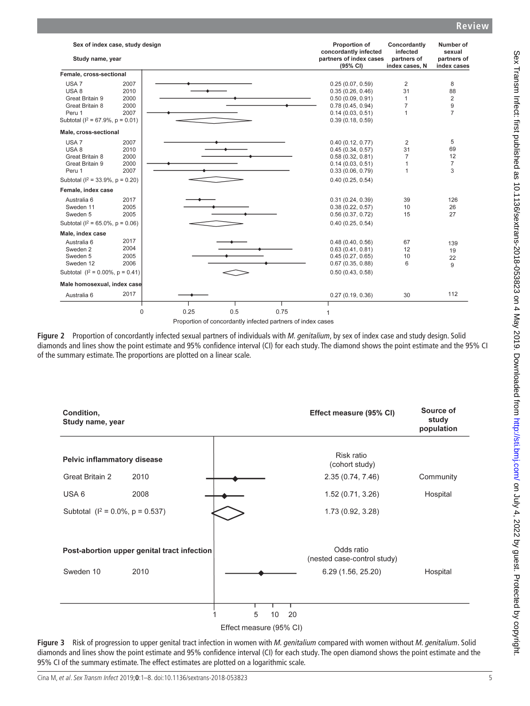| Sex of index case, study design<br>Study name, year                                                                                                                      |                                                                                    | Proportion of<br>concordantly infected<br>partners of index cases<br>(95% CI)                                        | Concordantly<br>infected<br>partners of<br>index cases, N | Number of<br>sexual<br>partners of<br>index cases |
|--------------------------------------------------------------------------------------------------------------------------------------------------------------------------|------------------------------------------------------------------------------------|----------------------------------------------------------------------------------------------------------------------|-----------------------------------------------------------|---------------------------------------------------|
| Female, cross-sectional                                                                                                                                                  |                                                                                    |                                                                                                                      |                                                           |                                                   |
| USA <sub>7</sub><br>2007<br>USA <sub>8</sub><br>2010<br>Great Britain 9<br>2000<br>Great Britain 8<br>2000<br>2007<br>Peru 1<br>Subtotal ( $I^2 = 67.9\%$ , $p = 0.01$ ) |                                                                                    | 0.25(0.07, 0.59)<br>0.35(0.26, 0.46)<br>0.50(0.09, 0.91)<br>0.78(0.45, 0.94)<br>0.14(0.03, 0.51)<br>0.39(0.18, 0.59) | $\overline{2}$<br>31<br>1<br>7<br>1                       | 8<br>88<br>2<br>9<br>$\overline{7}$               |
| Male, cross-sectional                                                                                                                                                    |                                                                                    |                                                                                                                      |                                                           |                                                   |
| USA <sub>7</sub><br>2007<br>USA 8<br>2010<br>Great Britain 8<br>2000<br>Great Britain 9<br>2000<br>2007<br>Peru 1<br>Subtotal ( $I^2 = 33.9\%$ , $p = 0.20$ )            |                                                                                    | 0.40(0.12, 0.77)<br>0.45(0.34, 0.57)<br>0.58(0.32, 0.81)<br>0.14(0.03, 0.51)<br>0.33(0.06, 0.79)<br>0.40(0.25, 0.54) | 2<br>31<br>$\overline{7}$<br>1<br>1                       | 5<br>69<br>12<br>$\overline{7}$<br>3              |
| Female, index case                                                                                                                                                       |                                                                                    |                                                                                                                      |                                                           |                                                   |
| Australia 6<br>2017<br>Sweden 11<br>2005<br>Sweden 5<br>2005<br>Subtotal ( $I^2 = 65.0\%$ , $p = 0.06$ )                                                                 |                                                                                    | 0.31(0.24, 0.39)<br>0.38(0.22, 0.57)<br>0.56(0.37, 0.72)<br>0.40(0.25, 0.54)                                         | 39<br>10<br>15                                            | 126<br>26<br>27                                   |
| Male, index case                                                                                                                                                         |                                                                                    |                                                                                                                      |                                                           |                                                   |
| 2017<br>Australia 6<br>2004<br>Sweden 2<br>2005<br>Sweden 5<br>2006<br>Sweden 12                                                                                         |                                                                                    | 0.48(0.40, 0.56)<br>0.63(0.41, 0.81)<br>0.45(0.27, 0.65)<br>0.67(0.35, 0.88)                                         | 67<br>12<br>10<br>6                                       | 139<br>19<br>22<br>9                              |
| Subtotal $(l^2 = 0.00\%, p = 0.41)$                                                                                                                                      |                                                                                    | 0.50(0.43, 0.58)                                                                                                     |                                                           |                                                   |
| Male homosexual, index case                                                                                                                                              |                                                                                    |                                                                                                                      |                                                           |                                                   |
| 2017<br>Australia 6                                                                                                                                                      |                                                                                    | 0.27(0.19, 0.36)                                                                                                     | 30                                                        | 112                                               |
| 0                                                                                                                                                                        | 0.25<br>0.5<br>0.75<br>Proportion of concordantly infected partners of index cases |                                                                                                                      |                                                           |                                                   |

<span id="page-4-0"></span>**Figure 2** Proportion of concordantly infected sexual partners of individuals with *M. genitalium*, by sex of index case and study design. Solid diamonds and lines show the point estimate and 95% confidence interval (CI) for each study. The diamond shows the point estimate and the 95% CI of the summary estimate. The proportions are plotted on a linear scale.



<span id="page-4-1"></span>**Figure 3** Risk of progression to upper genital tract infection in women with *M. genitalium* compared with women without *M. genitalium*. Solid diamonds and lines show the point estimate and 95% confidence interval (CI) for each study. The open diamond shows the point estimate and the 95% CI of the summary estimate. The effect estimates are plotted on a logarithmic scale.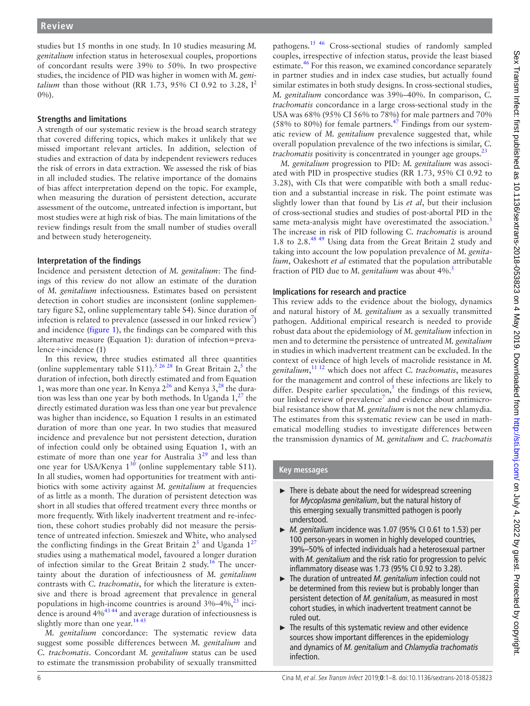studies but 15 months in one study. In 10 studies measuring *M. genitalium* infection status in heterosexual couples, proportions of concordant results were 39% to 50%. In two prospective studies, the incidence of PID was higher in women with *M. genitalium* than those without (RR 1.73, 95% CI 0.92 to 3.28, I<sup>2</sup> 0%).

#### **Strengths and limitations**

A strength of our systematic review is the broad search strategy that covered differing topics, which makes it unlikely that we missed important relevant articles. In addition, selection of studies and extraction of data by independent reviewers reduces the risk of errors in data extraction. We assessed the risk of bias in all included studies. The relative importance of the domains of bias affect interpretation depend on the topic. For example, when measuring the duration of persistent detection, accurate assessment of the outcome, untreated infection is important, but most studies were at high risk of bias. The main limitations of the review findings result from the small number of studies overall and between study heterogeneity.

#### **Interpretation of the findings**

Incidence and persistent detection of *M. genitalium*: The findings of this review do not allow an estimate of the duration of *M. genitalium* infectiousness. Estimates based on persistent detection in cohort studies are inconsistent ([online supplemen](https://dx.doi.org/10.1136/sextrans-2018-053823)[tary figure S2,](https://dx.doi.org/10.1136/sextrans-2018-053823) [online supplementary table S4\)](https://dx.doi.org/10.1136/sextrans-2018-053823). Since duration of infection is related to prevalence (assessed in our linked review<sup>7</sup>) and incidence ([figure](#page-3-0) 1), the findings can be compared with this alternative measure (Equation 1): duration of infection=prevalence÷incidence (1)

In this review, three studies estimated all three quantities ([online supplementary table S11](https://dx.doi.org/10.1136/sextrans-2018-053823)).<sup>[5 26 28](#page-6-2)</sup> In Great Britain  $2<sup>5</sup>$ , the duration of infection, both directly estimated and from Equation 1, was more than one year. In Kenya  $2^{26}$  $2^{26}$  $2^{26}$  and Kenya  $3^{28}$ , the duration was less than one year by both methods. In Uganda  $1,^{27}$  the directly estimated duration was less than one year but prevalence was higher than incidence, so Equation 1 results in an estimated duration of more than one year. In two studies that measured incidence and prevalence but not persistent detection, duration of infection could only be obtained using Equation 1, with an estimate of more than one year for Australia  $3^{29}$  and less than one year for USA/Kenya  $1^{30}$  ([online supplementary table S11](https://dx.doi.org/10.1136/sextrans-2018-053823)). In all studies, women had opportunities for treatment with antibiotics with some activity against *M. genitalium* at frequencies of as little as a month. The duration of persistent detection was short in all studies that offered treatment every three months or more frequently. With likely inadvertent treatment and re-infection, these cohort studies probably did not measure the persistence of untreated infection. Smieszek and White, who analysed the conflicting findings in the Great Britain  $2^5$  $2^5$  and Uganda  $1^{27}$  $1^{27}$  $1^{27}$ studies using a mathematical model, favoured a longer duration of infection similar to the Great Britain 2 study.<sup>16</sup> The uncertainty about the duration of infectiousness of *M. genitalium* contrasts with *C. trachomatis*, for which the literature is extensive and there is broad agreement that prevalence in general populations in high-income countries is around  $3\% - 4\%$ ,  $^{23}$  incidence is around 4[%43 44](#page-6-37) and average duration of infectiousness is slightly more than one year.  $1445$ 

*M. genitalium* concordance: The systematic review data suggest some possible differences between *M. genitalium* and *C. trachomatis*. Concordant *M. genitalium* status can be used to estimate the transmission probability of sexually transmitted

pathogens.[15 46](#page-6-10) Cross-sectional studies of randomly sampled couples, irrespective of infection status, provide the least biased estimate.<sup>46</sup> For this reason, we examined concordance separately in partner studies and in index case studies, but actually found similar estimates in both study designs. In cross-sectional studies, *M. genitalium* concordance was 39%–40%. In comparison, *C. trachomatis* concordance in a large cross-sectional study in the USA was 68% (95% CI 56% to 78%) for male partners and 70%  $(58\%$  to 80%) for female partners.<sup>[47](#page-7-1)</sup> Findings from our systematic review of *M. genitalium* prevalence suggested that, while overall population prevalence of the two infections is similar, *C. trachomatis* positivity is concentrated in younger age groups.<sup>2</sup>

*M. genitalium* progression to PID: *M. genitalium* was associated with PID in prospective studies (RR 1.73, 95% CI 0.92 to 3.28), with CIs that were compatible with both a small reduction and a substantial increase in risk. The point estimate was slightly lower than that found by Lis *et al*, but their inclusion of cross-sectional studies and studies of post-abortal PID in the same meta-analysis might have overestimated the association.<sup>[3](#page-6-1)</sup> The increase in risk of PID following *C. trachomatis* is around 1.8 to 2.8.[48 49](#page-7-2) Using data from the Great Britain 2 study and taking into account the low population prevalence of *M. genitalium*, Oakeshott *et al* estimated that the population attributable fraction of PID due to *M. genitalium* was about 4%[.5](#page-6-2)

### **Implications for research and practice**

This review adds to the evidence about the biology, dynamics and natural history of *M. genitalium* as a sexually transmitted pathogen. Additional empirical research is needed to provide robust data about the epidemiology of *M. genitalium* infection in men and to determine the persistence of untreated *M. genitalium* in studies in which inadvertent treatment can be excluded. In the context of evidence of high levels of macrolide resistance in *M. genitalium*, [11 12](#page-6-6) which does not affect *C. trachomatis*, measures for the management and control of these infections are likely to differ. Despite earlier speculation,<sup>5</sup> the findings of this review, our linked review of prevalence<sup>[7](#page-6-4)</sup> and evidence about antimicrobial resistance show that *M. genitalium* is not the new chlamydia. The estimates from this systematic review can be used in mathematical modelling studies to investigate differences between the transmission dynamics of *M. genitalium* and *C. trachomatis*

### **Key messages**

- ► There is debate about the need for widespread screening for *Mycoplasma genitalium*, but the natural history of this emerging sexually transmitted pathogen is poorly understood.
- ► *M. genitalium* incidence was 1.07 (95% CI 0.61 to 1.53) per 100 person-years in women in highly developed countries, 39%–50% of infected individuals had a heterosexual partner with *M. genitalium* and the risk ratio for progression to pelvic inflammatory disease was 1.73 (95% CI 0.92 to 3.28).
- ► The duration of untreated *M. genitalium* infection could not be determined from this review but is probably longer than persistent detection of *M. genitalium*, as measured in most cohort studies, in which inadvertent treatment cannot be ruled out.
- ► The results of this systematic review and other evidence sources show important differences in the epidemiology and dynamics of *M. genitalium* and *Chlamydia trachomatis* infection.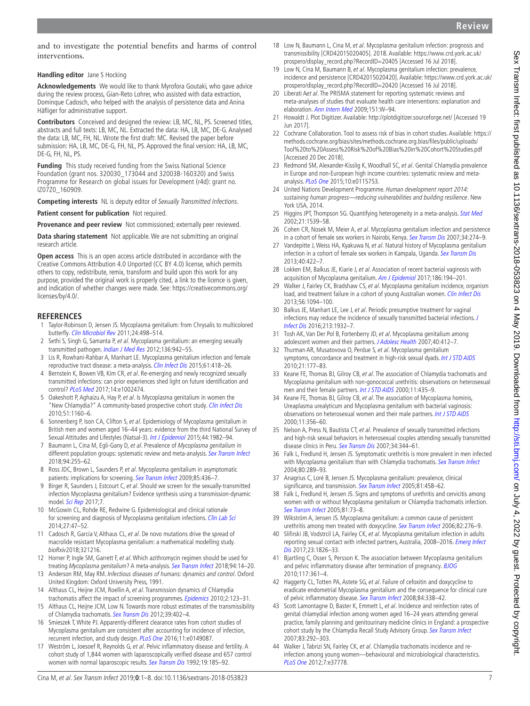Sex Transm Infect: first published as 10.1136/sextrans-2018-053823 on 4 May 2019. Downloaded from http://sti.bmj.com/ on July 4, 2022 by guest. Protected by copyright Sex Transm Infect: first published as 10.1136/sextrans-2018-053823 on 4 May 2019. Downloaded from <http://sti.bmj.com/> on July 4, 2022 by guest. Protected by copyright.

and to investigate the potential benefits and harms of control interventions.

**Handling editor** Jane S Hocking

**Acknowledgements** We would like to thank Myrofora Goutaki, who gave advice during the review process, Gian-Reto Lohrer, who assisted with data extraction, Dominque Cadosch, who helped with the analysis of persistence data and Anina Häfliger for administrative support.

**Contributors** Conceived and designed the review: LB, MC, NL, PS. Screened titles, abstracts and full texts: LB, MC, NL. Extracted the data: HA, LB, MC, DE-G. Analysed the data: LB, MC, FH, NL. Wrote the first draft: MC. Revised the paper before submission: HA, LB, MC, DE-G, FH, NL, PS. Approved the final version: HA, LB, MC, DE-G, FH, NL, PS.

**Funding** This study received funding from the Swiss National Science Foundation (grant nos. 320030\_173044 and 32003B-160320) and Swiss Programme for Research on global issues for Development (r4d): grant no. IZ07Z0\_160909.

**Competing interests** NL is deputy editor of Sexually Transmitted Infections.

**Patient consent for publication** Not required.

**Provenance and peer review** Not commissioned; externally peer reviewed.

**Data sharing statement** Not applicable. We are not submitting an original research article.

**Open access** This is an open access article distributed in accordance with the Creative Commons Attribution 4.0 Unported (CC BY 4.0) license, which permits others to copy, redistribute, remix, transform and build upon this work for any purpose, provided the original work is properly cited, a link to the licence is given, and indication of whether changes were made. See: [https://creativecommons.org/](https://creativecommons.org/licenses/by/4.0/) [licenses/by/4.0/.](https://creativecommons.org/licenses/by/4.0/)

### **References**

- <span id="page-6-0"></span>1 Taylor-Robinson D, Jensen JS. Mycoplasma genitalium: from Chrysalis to multicolored butterfly. [Clin Microbiol Rev](http://dx.doi.org/10.1128/CMR.00006-11) 2011;24:498–514.
- 2 Sethi S, Singh G, Samanta P, et al. Mycoplasma genitalium: an emerging sexually transmitted pathogen. [Indian J Med Res](http://www.ncbi.nlm.nih.gov/pubmed/23391789) 2012;136:942-55.
- <span id="page-6-1"></span>3 Lis R, Rowhani-Rahbar A, Manhart LE. Mycoplasma genitalium infection and female reproductive tract disease: a meta-analysis. [Clin Infect Dis](http://dx.doi.org/10.1093/cid/civ312) 2015;61:418–26.
- 4 Bernstein K, Bowen VB, Kim CR, et al. Re-emerging and newly recognized sexually transmitted infections: can prior experiences shed light on future identification and control? [PLoS Med](http://dx.doi.org/10.1371/journal.pmed.1002474) 2017;14:e1002474.
- <span id="page-6-2"></span>5 Oakeshott P, Aghaizu A, Hay P, et al. Is Mycoplasma genitalium in women the "New Chlamydia?" A community-based prospective cohort study. [Clin Infect Dis](http://dx.doi.org/10.1086/656739) 2010;51:1160–6.
- <span id="page-6-3"></span>6 Sonnenberg P, Ison CA, Clifton S, et al. Epidemiology of Mycoplasma genitalium in British men and women aged 16–44 years: evidence from the third National Survey of Sexual Attitudes and Lifestyles (Natsal-3). [Int J Epidemiol](http://dx.doi.org/10.1093/ije/dyv194) 2015;44:1982-94.
- <span id="page-6-4"></span>7 Baumann L, Cina M, Egli-Gany D, et al. Prevalence of Mycoplasma genitalium in different population groups: systematic review and meta-analysis. [Sex Transm Infect](http://dx.doi.org/10.1136/sextrans-2017-053384) 2018;94:255–62.
- <span id="page-6-5"></span>8 Ross JDC, Brown L, Saunders P, et al. Mycoplasma genitalium in asymptomatic patients: implications for screening. [Sex Transm Infect](http://dx.doi.org/10.1136/sti.2009.036046) 2009;85:436-7.
- <span id="page-6-7"></span>9 Birger R, Saunders J, Estcourt C, et al. Should we screen for the sexually-transmitted infection Mycoplasma genitalium? Evidence synthesis using a transmission-dynamic model. [Sci Rep](http://dx.doi.org/10.1038/s41598-017-16302-8) 2017;7.
- 10 McGowin CL, Rohde RE, Redwine G. Epidemiological and clinical rationale for screening and diagnosis of Mycoplasma genitalium infections. [Clin Lab Sci](http://dx.doi.org/10.29074/ascls.27.1.47) 2014;27:47–52.
- <span id="page-6-6"></span>11 Cadosch R, Garcia V, Althaus CL, et al. De novo mutations drive the spread of macrolide resistant Mycoplasma genitalium: a mathematical modelling study. bioRxiv2018;321216.
- 12 Horner P, Ingle SM, Garrett F, et al. Which azithromycin regimen should be used for treating Mycoplasma genitalium? A meta-analysis. [Sex Transm Infect](http://dx.doi.org/10.1136/sextrans-2016-053060) 2018;94:14-20.
- <span id="page-6-8"></span>13 Anderson RM, May RM. Infectious diseases of humans: dynamics and control. Oxford United Kingdom: Oxford University Press, 1991.
- <span id="page-6-9"></span>14 Althaus CL, Heijne JCM, Roellin A, et al. Transmission dynamics of Chlamydia trachomatis affect the impact of screening programmes. [Epidemics](http://dx.doi.org/10.1016/j.epidem.2010.04.002) 2010;2:123-31.
- <span id="page-6-10"></span>15 Althaus CL, Heijne JCM, Low N. Towards more robust estimates of the transmissibility of Chlamydia trachomatis. [Sex Transm Dis](http://dx.doi.org/10.1097/OLQ.0b013e318248a550) 2012;39:402–4.
- <span id="page-6-18"></span>16 Smieszek T, White PJ. Apparently-different clearance rates from cohort studies of Mycoplasma genitalium are consistent after accounting for incidence of infection, recurrent infection, and study design. [PLoS One](http://dx.doi.org/10.1371/journal.pone.0149087) 2016;11:e0149087.
- <span id="page-6-11"></span>17 Weström L, Joesoef R, Reynolds G, et al. Pelvic inflammatory disease and fertility. A cohort study of 1,844 women with laparoscopically verified disease and 657 control women with normal laparoscopic results. [Sex Transm Dis](http://www.ncbi.nlm.nih.gov/pubmed/1411832) 1992;19:185-92.
- <span id="page-6-12"></span>18 Low N, Baumann L, Cina M, et al. Mycoplasma genitalium infection: prognosis and transmissibility [CRD42015020405]. 2018. Available: [https://www.crd.york.ac.uk/](https://www.crd.york.ac.uk/prospero/display_record.php?RecordID=20405) [prospero/display\\_record.php?RecordID=20405](https://www.crd.york.ac.uk/prospero/display_record.php?RecordID=20405) [Accessed 16 Jul 2018]
- 19 Low N, Cina M, Baumann B, et al. Mycoplasma genitalium infection: prevalence, incidence and persistence [CRD42015020420]. Available: [https://www.crd.york.ac.uk/](https://www.crd.york.ac.uk/prospero/display_record.php?RecordID=20420) [prospero/display\\_record.php?RecordID=20420](https://www.crd.york.ac.uk/prospero/display_record.php?RecordID=20420) [Accessed 16 Jul 2018].
- <span id="page-6-13"></span>20 Liberati Aet al. The PRISMA statement for reporting systematic reviews and meta-analyses of studies that evaluate health care interventions: explanation and elaboration. [Ann Intern Med](http://dx.doi.org/10.7326/0003-4819-151-4-200908180-00136) 2009;151:W–94.
- <span id="page-6-14"></span>21 Howaldt J. Plot Digitizer. Available:<http://plotdigitizer.sourceforge.net/>[Accessed 19 Jun 2017].
- <span id="page-6-15"></span>22 Cochrane Collaboration. Tool to assess risk of bias in cohort studies. Available: [https://](https://methods.cochrane.org/bias/sites/methods.cochrane.org.bias/files/public/uploads/Tool%20to%20Assess%20Risk%20of%20Bias%20in%20Cohort%20Studies.pdf) [methods.cochrane.org/bias/sites/methods.cochrane.org.bias/files/public/uploads/](https://methods.cochrane.org/bias/sites/methods.cochrane.org.bias/files/public/uploads/Tool%20to%20Assess%20Risk%20of%20Bias%20in%20Cohort%20Studies.pdf) [Tool%20to%20Assess%20Risk%20of%20Bias%20in%20Cohort%20Studies.pdf](https://methods.cochrane.org/bias/sites/methods.cochrane.org.bias/files/public/uploads/Tool%20to%20Assess%20Risk%20of%20Bias%20in%20Cohort%20Studies.pdf) [Accessed 20 Dec 2018].
- <span id="page-6-36"></span>23 Redmond SM, Alexander-Kisslig K, Woodhall SC, et al. Genital Chlamydia prevalence in Europe and non-European high income countries: systematic review and metaanalysis. [PLoS One](http://dx.doi.org/10.1371/journal.pone.0115753) 2015;10:e0115753.
- <span id="page-6-16"></span>24 United Nations Development Programme. Human development report 2014: sustaining human progress—reducing vulnerabilities and building resilience. New York USA, 2014.
- <span id="page-6-17"></span>25 Higgins JPT, Thompson SG. Quantifying heterogeneity in a meta-analysis. [Stat Med](http://dx.doi.org/10.1002/sim.1186) 2002;21:1539–58.
- <span id="page-6-21"></span>26 Cohen CR, Nosek M, Meier A, et al. Mycoplasma genitalium infection and persistence in a cohort of female sex workers in Nairobi, Kenya. [Sex Transm Dis](http://dx.doi.org/10.1097/01.olq.0000237860.61298.54) 2007;34:274–9.
- <span id="page-6-23"></span>27 Vandepitte J, Weiss HA, Kyakuwa N, et al. Natural history of Mycoplasma genitalium infection in a cohort of female sex workers in Kampala, Uganda. [Sex Transm Dis](http://dx.doi.org/10.1097/OLQ.0b013e31828bfccf) 2013;40:422–7.
- <span id="page-6-22"></span>28 Lokken EM, Balkus JE, Kiarie J, et al. Association of recent bacterial vaginosis with acquisition of Mycoplasma genitalium. [Am J Epidemiol](http://dx.doi.org/10.1093/aje/kwx043) 2017;186:194–201.
- <span id="page-6-20"></span>29 Walker J, Fairley CK, Bradshaw CS, et al. Mycoplasma genitalium incidence, organism load, and treatment failure in a cohort of young Australian women. [Clin Infect Dis](http://dx.doi.org/10.1093/cid/cis1210) 2013;56:1094–100.
- <span id="page-6-24"></span>30 Balkus JE, Manhart LE, Lee J, et al. Periodic presumptive treatment for vaginal infections may reduce the incidence of sexually transmitted bacterial infections. [J](http://dx.doi.org/10.1093/infdis/jiw043)  [Infect Dis](http://dx.doi.org/10.1093/infdis/jiw043) 2016;213:1932–7.
- <span id="page-6-19"></span>31 Tosh AK, Van Der Pol B, Fortenberry JD, et al. Mycoplasma genitalium among adolescent women and their partners. [J Adolesc Health](http://dx.doi.org/10.1016/j.jadohealth.2006.12.005) 2007;40:412-7.
- <span id="page-6-28"></span>32 Thurman AR, Musatovova O, Perdue S, et al. Mycoplasma genitalium symptoms, concordance and treatment in high-risk sexual dyads. [Int J STD AIDS](http://dx.doi.org/10.1258/ijsa.2009.008485) 2010;21:177–83.
- <span id="page-6-26"></span>33 Keane FE, Thomas BJ, Gilroy CB, et al. The association of Chlamydia trachomatis and Mycoplasma genitalium with non-gonococcal urethritis: observations on heterosexual men and their female partners. [Int J STD AIDS](http://dx.doi.org/10.1258/0956462001916209) 2000;11:435-9.
- <span id="page-6-25"></span>34 Keane FE, Thomas BJ, Gilroy CB, et al. The association of Mycoplasma hominis, Ureaplasma urealyticum and Mycoplasma genitalium with bacterial vaginosis: observations on heterosexual women and their male partners. [Int J STD AIDS](http://dx.doi.org/10.1258/0956462001916056) 2000;11:356–60.
- <span id="page-6-27"></span>35 Nelson A, Press N, Bautista CT, et al. Prevalence of sexually transmitted infections and high-risk sexual behaviors in heterosexual couples attending sexually transmitted disease clinics in Peru. [Sex Transm Dis](http://dx.doi.org/10.1097/01.olq.0000240341.95084.da) 2007;34:344-61.
- <span id="page-6-29"></span>36 Falk L, Fredlund H, Jensen JS. Symptomatic urethritis is more prevalent in men infected with Mycoplasma genitalium than with Chlamydia trachomatis. [Sex Transm Infect](http://dx.doi.org/10.1136/sti.2003.006817) 2004;80:289–93.
- <span id="page-6-30"></span>37 Anagrius C, Loré B, Jensen JS. Mycoplasma genitalium: prevalence, clinical significance, and transmission. [Sex Transm Infect](http://dx.doi.org/10.1136/sti.2004.012062) 2005;81:458-62.
- <span id="page-6-31"></span>38 Falk L, Fredlund H, Jensen JS. Signs and symptoms of urethritis and cervicitis among women with or without Mycoplasma genitalium or Chlamydia trachomatis infection. [Sex Transm Infect](http://dx.doi.org/10.1136/sti.2004.010439) 2005;81:73–8.
- <span id="page-6-32"></span>39 Wikström A, Jensen JS. Mycoplasma genitalium: a common cause of persistent urethritis among men treated with doxycycline. [Sex Transm Infect](http://dx.doi.org/10.1136/sti.2005.018598) 2006;82:276-9.
- <span id="page-6-33"></span>40 Slifirski JB, Vodstrcil LA, Fairley CK, et al. Mycoplasma genitalium infection in adults reporting sexual contact with infected partners, Australia, 2008-2016. Emerg Infect [Dis](http://dx.doi.org/10.3201/eid2311.170998) 2017;23:1826–33.
- <span id="page-6-34"></span>41 Bjartling C, Osser S, Persson K. The association between Mycoplasma genitalium and pelvic inflammatory disease after termination of pregnancy. **[BJOG](http://dx.doi.org/10.1111/j.1471-0528.2009.02455.x)** 2010;117:361–4.
- <span id="page-6-35"></span>42 Haggerty CL, Totten PA, Astete SG, et al. Failure of cefoxitin and doxycycline to eradicate endometrial Mycoplasma genitalium and the consequence for clinical cure of pelvic inflammatory disease. [Sex Transm Infect](http://dx.doi.org/10.1136/sti.2008.030486) 2008;84:338-42.
- <span id="page-6-37"></span>43 Scott Lamontagne D, Baster K, Emmett L, et al. Incidence and reinfection rates of genital chlamydial infection among women aged 16–24 years attending general practice, family planning and genitourinary medicine clinics in England: a prospective cohort study by the Chlamydia Recall Study Advisory Group. [Sex Transm Infect](http://dx.doi.org/10.1136/sti.2006.022053) 2007;83:292–303.
- 44 Walker J, Tabrizi SN, Fairley CK, et al. Chlamydia trachomatis incidence and reinfection among young women—behavioural and microbiological characteristics. [PLoS One](http://dx.doi.org/10.1371/journal.pone.0037778) 2012;7:e37778.